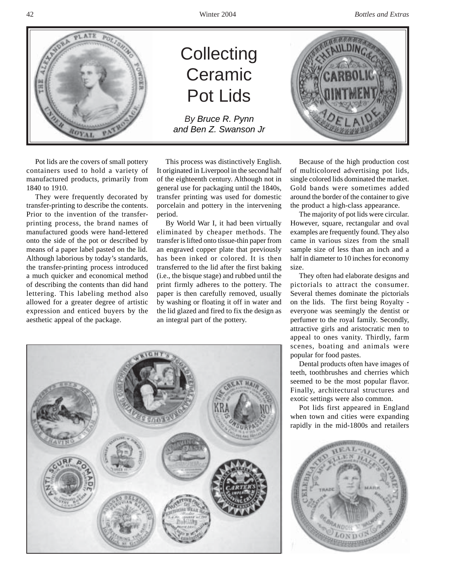

Pot lids are the covers of small pottery containers used to hold a variety of manufactured products, primarily from 1840 to 1910.

They were frequently decorated by transfer-printing to describe the contents. Prior to the invention of the transferprinting process, the brand names of manufactured goods were hand-lettered onto the side of the pot or described by means of a paper label pasted on the lid. Although laborious by today's standards, the transfer-printing process introduced a much quicker and economical method of describing the contents than did hand lettering. This labeling method also allowed for a greater degree of artistic expression and enticed buyers by the aesthetic appeal of the package.

## **Collecting** Ceramic Pot Lids

*By Bruce R. Pynn and Ben Z. Swanson Jr*

This process was distinctively English. It originated in Liverpool in the second half of the eighteenth century. Although not in general use for packaging until the 1840s, transfer printing was used for domestic porcelain and pottery in the intervening period.

By World War I, it had been virtually eliminated by cheaper methods. The transfer is lifted onto tissue-thin paper from an engraved copper plate that previously has been inked or colored. It is then transferred to the lid after the first baking (i.e., the bisque stage) and rubbed until the print firmly adheres to the pottery. The paper is then carefully removed, usually by washing or floating it off in water and the lid glazed and fired to fix the design as an integral part of the pottery.

Because of the high production cost of multicolored advertising pot lids, single colored lids dominated the market. Gold bands were sometimes added around the border of the container to give the product a high-class appearance.

The majority of pot lids were circular. However, square, rectangular and oval examples are frequently found. They also came in various sizes from the small sample size of less than an inch and a half in diameter to 10 inches for economy size.

They often had elaborate designs and pictorials to attract the consumer. Several themes dominate the pictorials on the lids. The first being Royalty everyone was seemingly the dentist or perfumer to the royal family. Secondly, attractive girls and aristocratic men to appeal to ones vanity. Thirdly, farm scenes, boating and animals were popular for food pastes.

Dental products often have images of teeth, toothbrushes and cherries which seemed to be the most popular flavor. Finally, architectural structures and exotic settings were also common.

Pot lids first appeared in England when town and cities were expanding rapidly in the mid-1800s and retailers





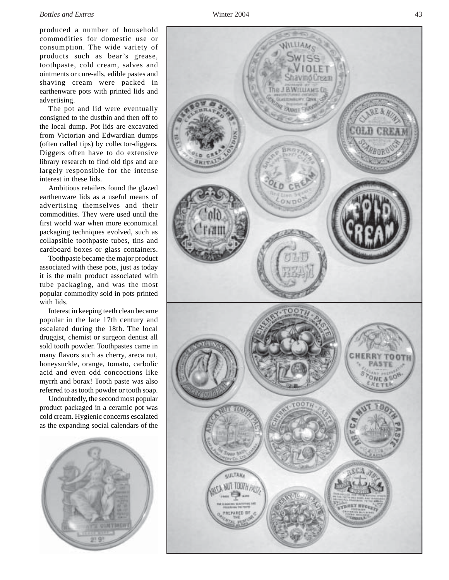## *Bottles and Extras* Winter 2004 43

produced a number of household commodities for domestic use or consumption. The wide variety of products such as bear's grease, toothpaste, cold cream, salves and ointments or cure-alls, edible pastes and shaving cream were packed in earthenware pots with printed lids and advertising.

The pot and lid were eventually consigned to the dustbin and then off to the local dump. Pot lids are excavated from Victorian and Edwardian dumps (often called tips) by collector-diggers. Diggers often have to do extensive library research to find old tips and are largely responsible for the intense interest in these lids.

Ambitious retailers found the glazed earthenware lids as a useful means of advertising themselves and their commodities. They were used until the first world war when more economical packaging techniques evolved, such as collapsible toothpaste tubes, tins and cardboard boxes or glass containers.

Toothpaste became the major product associated with these pots, just as today it is the main product associated with tube packaging, and was the most popular commodity sold in pots printed with lids.

Interest in keeping teeth clean became popular in the late 17th century and escalated during the 18th. The local druggist, chemist or surgeon dentist all sold tooth powder. Toothpastes came in many flavors such as cherry, areca nut, honeysuckle, orange, tomato, carbolic acid and even odd concoctions like myrrh and borax! Tooth paste was also referred to as tooth powder or tooth soap.

Undoubtedly, the second most popular product packaged in a ceramic pot was cold cream. Hygienic concerns escalated as the expanding social calendars of the